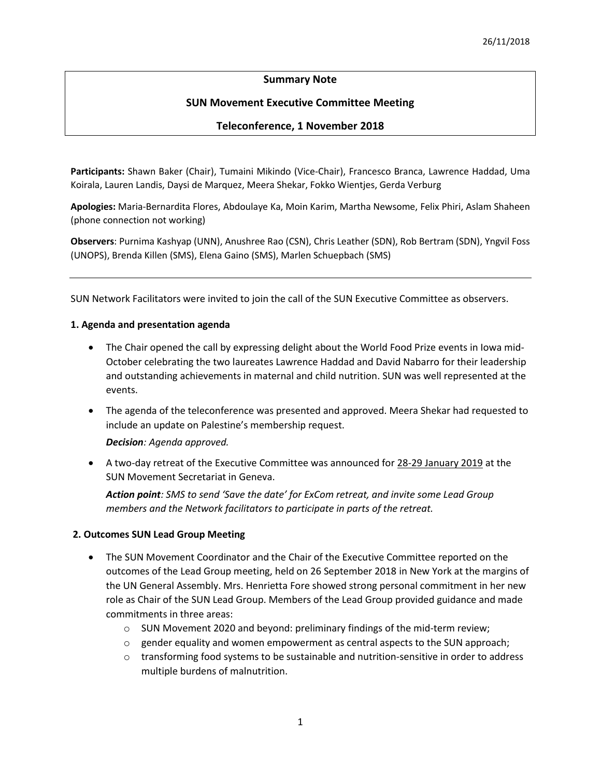# **Summary Note**

# **SUN Movement Executive Committee Meeting**

## **Teleconference, 1 November 2018**

**Participants:** Shawn Baker (Chair), Tumaini Mikindo (Vice-Chair), Francesco Branca, Lawrence Haddad, Uma Koirala, Lauren Landis, Daysi de Marquez, Meera Shekar, Fokko Wientjes, Gerda Verburg

**Apologies:** Maria-Bernardita Flores, Abdoulaye Ka, Moin Karim, Martha Newsome, Felix Phiri, Aslam Shaheen (phone connection not working)

**Observers**: Purnima Kashyap (UNN), Anushree Rao (CSN), Chris Leather (SDN), Rob Bertram (SDN), Yngvil Foss (UNOPS), Brenda Killen (SMS), Elena Gaino (SMS), Marlen Schuepbach (SMS)

SUN Network Facilitators were invited to join the call of the SUN Executive Committee as observers.

### **1. Agenda and presentation agenda**

- The Chair opened the call by expressing delight about the World Food Prize events in Iowa mid-October celebrating the two laureates Lawrence Haddad and David Nabarro for their leadership and outstanding achievements in maternal and child nutrition. SUN was well represented at the events.
- The agenda of the teleconference was presented and approved. Meera Shekar had requested to include an update on Palestine's membership request.

*Decision: Agenda approved.* 

• A two-day retreat of the Executive Committee was announced for 28-29 January 2019 at the SUN Movement Secretariat in Geneva.

*Action point: SMS to send 'Save the date' for ExCom retreat, and invite some Lead Group members and the Network facilitators to participate in parts of the retreat.* 

## **2. Outcomes SUN Lead Group Meeting**

- The SUN Movement Coordinator and the Chair of the Executive Committee reported on the outcomes of the Lead Group meeting, held on 26 September 2018 in New York at the margins of the UN General Assembly. Mrs. Henrietta Fore showed strong personal commitment in her new role as Chair of the SUN Lead Group. Members of the Lead Group provided guidance and made commitments in three areas:
	- $\circ$  SUN Movement 2020 and beyond: preliminary findings of the mid-term review;
	- $\circ$  gender equality and women empowerment as central aspects to the SUN approach;
	- $\circ$  transforming food systems to be sustainable and nutrition-sensitive in order to address multiple burdens of malnutrition.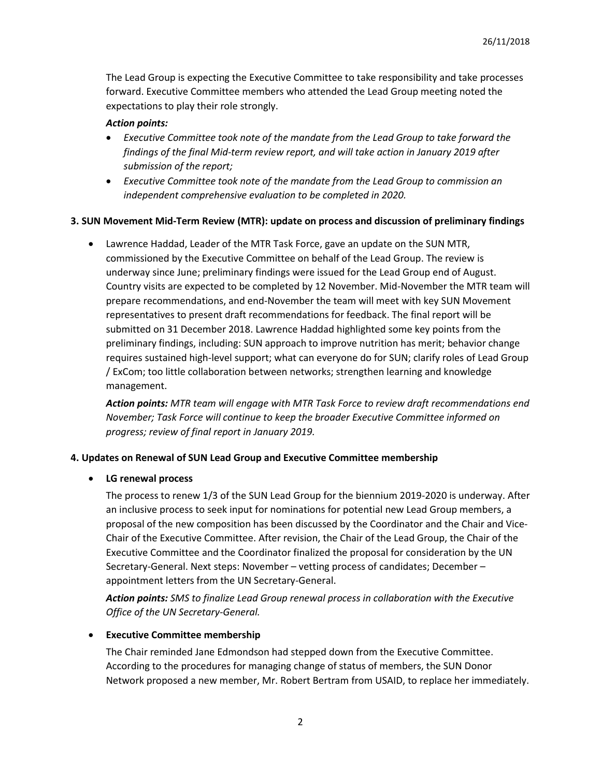The Lead Group is expecting the Executive Committee to take responsibility and take processes forward. Executive Committee members who attended the Lead Group meeting noted the expectations to play their role strongly.

## *Action points:*

- *Executive Committee took note of the mandate from the Lead Group to take forward the findings of the final Mid-term review report, and will take action in January 2019 after submission of the report;*
- *Executive Committee took note of the mandate from the Lead Group to commission an independent comprehensive evaluation to be completed in 2020.*

### **3. SUN Movement Mid-Term Review (MTR): update on process and discussion of preliminary findings**

• Lawrence Haddad, Leader of the MTR Task Force, gave an update on the SUN MTR, commissioned by the Executive Committee on behalf of the Lead Group. The review is underway since June; preliminary findings were issued for the Lead Group end of August. Country visits are expected to be completed by 12 November. Mid-November the MTR team will prepare recommendations, and end-November the team will meet with key SUN Movement representatives to present draft recommendations for feedback. The final report will be submitted on 31 December 2018. Lawrence Haddad highlighted some key points from the preliminary findings, including: SUN approach to improve nutrition has merit; behavior change requires sustained high-level support; what can everyone do for SUN; clarify roles of Lead Group / ExCom; too little collaboration between networks; strengthen learning and knowledge management.

*Action points: MTR team will engage with MTR Task Force to review draft recommendations end November; Task Force will continue to keep the broader Executive Committee informed on progress; review of final report in January 2019.*

#### **4. Updates on Renewal of SUN Lead Group and Executive Committee membership**

• **LG renewal process**

The process to renew 1/3 of the SUN Lead Group for the biennium 2019-2020 is underway. After an inclusive process to seek input for nominations for potential new Lead Group members, a proposal of the new composition has been discussed by the Coordinator and the Chair and Vice-Chair of the Executive Committee. After revision, the Chair of the Lead Group, the Chair of the Executive Committee and the Coordinator finalized the proposal for consideration by the UN Secretary-General. Next steps: November – vetting process of candidates; December – appointment letters from the UN Secretary-General.

*Action points: SMS to finalize Lead Group renewal process in collaboration with the Executive Office of the UN Secretary-General.* 

#### • **Executive Committee membership**

The Chair reminded Jane Edmondson had stepped down from the Executive Committee. According to the procedures for managing change of status of members, the SUN Donor Network proposed a new member, Mr. Robert Bertram from USAID, to replace her immediately.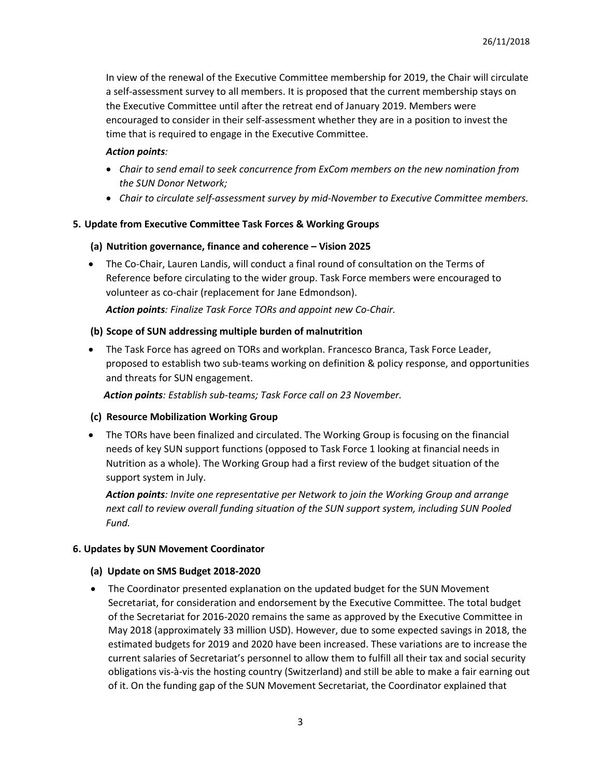In view of the renewal of the Executive Committee membership for 2019, the Chair will circulate a self-assessment survey to all members. It is proposed that the current membership stays on the Executive Committee until after the retreat end of January 2019. Members were encouraged to consider in their self-assessment whether they are in a position to invest the time that is required to engage in the Executive Committee.

### *Action points:*

- *Chair to send email to seek concurrence from ExCom members on the new nomination from the SUN Donor Network;*
- *Chair to circulate self-assessment survey by mid-November to Executive Committee members.*

### **5. Update from Executive Committee Task Forces & Working Groups**

### **(a) Nutrition governance, finance and coherence – Vision 2025**

• The Co-Chair, Lauren Landis, will conduct a final round of consultation on the Terms of Reference before circulating to the wider group. Task Force members were encouraged to volunteer as co-chair (replacement for Jane Edmondson).

*Action points: Finalize Task Force TORs and appoint new Co-Chair.*

### **(b) Scope of SUN addressing multiple burden of malnutrition**

• The Task Force has agreed on TORs and workplan. Francesco Branca, Task Force Leader, proposed to establish two sub-teams working on definition & policy response, and opportunities and threats for SUN engagement.

*Action points: Establish sub-teams; Task Force call on 23 November.*

#### **(c) Resource Mobilization Working Group**

• The TORs have been finalized and circulated. The Working Group is focusing on the financial needs of key SUN support functions (opposed to Task Force 1 looking at financial needs in Nutrition as a whole). The Working Group had a first review of the budget situation of the support system in July.

*Action points: Invite one representative per Network to join the Working Group and arrange next call to review overall funding situation of the SUN support system, including SUN Pooled Fund.* 

#### **6. Updates by SUN Movement Coordinator**

#### **(a) Update on SMS Budget 2018-2020**

• The Coordinator presented explanation on the updated budget for the SUN Movement Secretariat, for consideration and endorsement by the Executive Committee. The total budget of the Secretariat for 2016-2020 remains the same as approved by the Executive Committee in May 2018 (approximately 33 million USD). However, due to some expected savings in 2018, the estimated budgets for 2019 and 2020 have been increased. These variations are to increase the current salaries of Secretariat's personnel to allow them to fulfill all their tax and social security obligations vis-à-vis the hosting country (Switzerland) and still be able to make a fair earning out of it. On the funding gap of the SUN Movement Secretariat, the Coordinator explained that